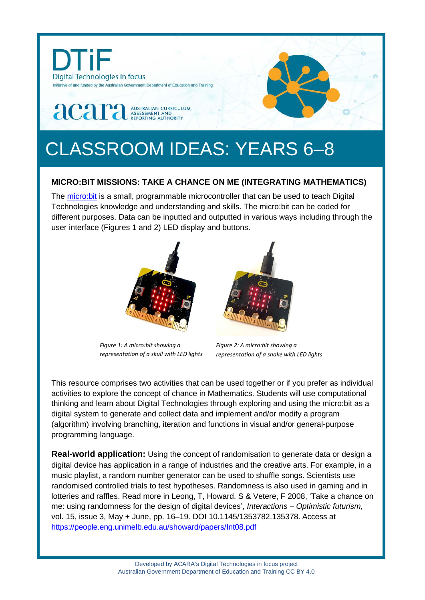

# CLASSROOM IDEAS: YEARS 6–8

## **MICRO:BIT MISSIONS: TAKE A CHANCE ON ME (INTEGRATING MATHEMATICS)**

The [micro:bit](https://microbit.org/guide/) is a small, programmable microcontroller that can be used to teach Digital Technologies knowledge and understanding and skills. The micro:bit can be coded for different purposes. Data can be inputted and outputted in various ways including through the user interface (Figures 1 and 2) LED display and buttons.



*Figure 1: A micro:bit showing a representation of a skull with LED lights*



*Figure 2: A micro:bit showing a representation of a snake with LED lights*

This resource comprises two activities that can be used together or if you prefer as individual activities to explore the concept of chance in Mathematics. Students will use computational thinking and learn about Digital Technologies through exploring and using the micro:bit as a digital system to generate and collect data and implement and/or modify a program (algorithm) involving branching, iteration and functions in visual and/or general-purpose programming language.

**Real-world application:** Using the concept of randomisation to generate data or design a digital device has application in a range of industries and the creative arts. For example, in a music playlist, a random number generator can be used to shuffle songs. Scientists use randomised controlled trials to test hypotheses. Randomness is also used in gaming and in lotteries and raffles. Read more in Leong, T, Howard, S & Vetere, F 2008, 'Take a chance on me: using randomness for the design of digital devices', *Interactions – Optimistic futurism,* vol. 15, issue 3, May + June, pp. 16–19. DOI 10.1145/1353782.135378. Access at <https://people.eng.unimelb.edu.au/showard/papers/Int08.pdf>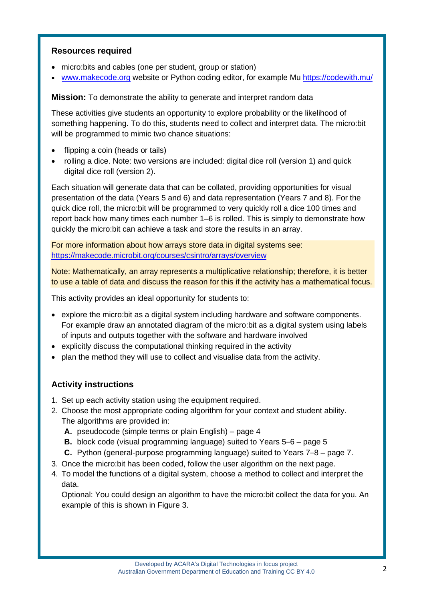## **Resources required**

- micro:bits and cables (one per student, group or station)
- [www.makecode.org](http://www.makecode.org/) website or Python coding editor, for example Mu <https://codewith.mu/>

**Mission:** To demonstrate the ability to generate and interpret random data

These activities give students an opportunity to explore probability or the likelihood of something happening. To do this, students need to collect and interpret data. The micro:bit will be programmed to mimic two chance situations:

- flipping a coin (heads or tails)
- rolling a dice. Note: two versions are included: digital dice roll (version 1) and quick digital dice roll (version 2).

Each situation will generate data that can be collated, providing opportunities for visual presentation of the data (Years 5 and 6) and data representation (Years 7 and 8). For the quick dice roll, the micro:bit will be programmed to very quickly roll a dice 100 times and report back how many times each number 1–6 is rolled. This is simply to demonstrate how quickly the micro:bit can achieve a task and store the results in an array.

For more information about how arrays store data in digital systems see: <https://makecode.microbit.org/courses/csintro/arrays/overview>

Note: Mathematically, an array represents a multiplicative relationship; therefore, it is better to use a table of data and discuss the reason for this if the activity has a mathematical focus.

This activity provides an ideal opportunity for students to:

- explore the micro:bit as a digital system including hardware and software components. For example draw an annotated diagram of the micro:bit as a digital system using labels of inputs and outputs together with the software and hardware involved
- explicitly discuss the computational thinking required in the activity
- plan the method they will use to collect and visualise data from the activity.

## **Activity instructions**

- 1. Set up each activity station using the equipment required.
- 2. Choose the most appropriate coding algorithm for your context and student ability. The algorithms are provided in:
	- **A.** pseudocode (simple terms or plain English) page 4
	- **B.** block code (visual programming language) suited to Years 5–6 page 5
	- **C.** Python (general-purpose programming language) suited to Years 7–8 page 7.
- 3. Once the micro:bit has been coded, follow the user algorithm on the next page.
- 4. To model the functions of a digital system, choose a method to collect and interpret the data.

Optional: You could design an algorithm to have the micro:bit collect the data for you. An example of this is shown in Figure 3.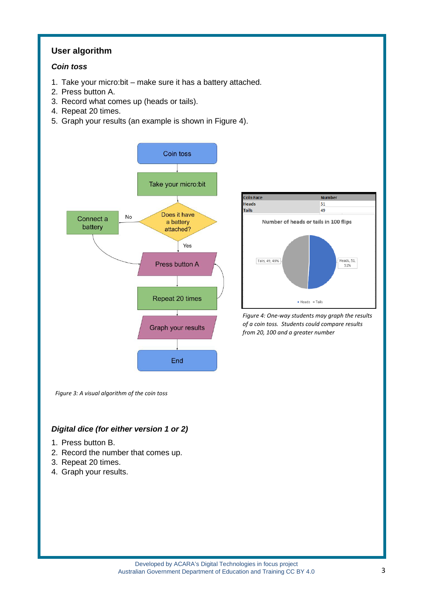## **User algorithm**

### *Coin toss*

- 1. Take your micro:bit make sure it has a battery attached.
- 2. Press button A.
- 3. Record what comes up (heads or tails).
- 4. Repeat 20 times.
- 5. Graph your results (an example is shown in Figure 4).



**Coin Face Number Heads** 51 **Tails** 49 Number of heads or tails in 100 flips Tails, 49, 49% Heads, 51, 51%  $Heads = Tails$ 

*Figure 4: One-way students may graph the results of a coin toss. Students could compare results from 20, 100 and a greater number*

*Figure 3: A visual algorithm of the coin toss*

## *Digital dice (for either version 1 or 2)*

- 1. Press button B.
- 2. Record the number that comes up.
- 3. Repeat 20 times.
- 4. Graph your results.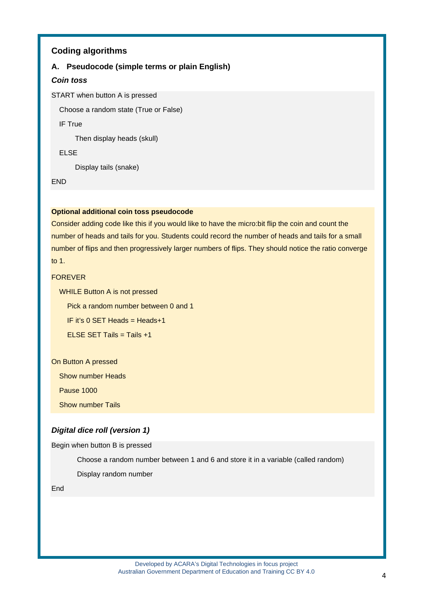### **Coding algorithms**

#### **A. Pseudocode (simple terms or plain English)**

#### *Coin toss*

START when button A is pressed

Choose a random state (True or False)

IF True

Then display heads (skull)

ELSE

Display tails (snake)

END

#### **Optional additional coin toss pseudocode**

Consider adding code like this if you would like to have the micro:bit flip the coin and count the number of heads and tails for you. Students could record the number of heads and tails for a small number of flips and then progressively larger numbers of flips. They should notice the ratio converge to 1.

#### FOREVER

WHILE Button A is not pressed

Pick a random number between 0 and 1

IF it's 0 SET Heads = Heads+1

ELSE SET Tails = Tails +1

On Button A pressed

Show number Heads

Pause 1000

**Show number Tails** 

#### *Digital dice roll (version 1)*

Begin when button B is pressed

Choose a random number between 1 and 6 and store it in a variable (called random)

Display random number

End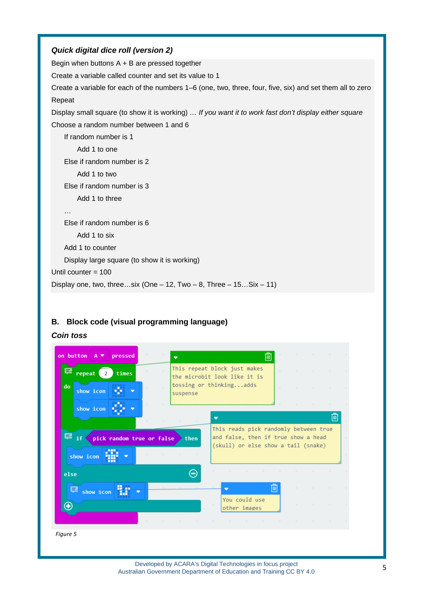# *Quick digital dice roll (version 2)* Begin when buttons A + B are pressed together Create a variable called counter and set its value to 1

Create a variable for each of the numbers 1–6 (one, two, three, four, five, six) and set them all to zero Repeat

Display small square (to show it is working) *… If you want it to work fast don't display either square* Choose a random number between 1 and 6

```
If random number is 1
        Add 1 to one
    Else if random number is 2
        Add 1 to two
    Else if random number is 3
        Add 1 to three
    …
    Else if random number is 6
        Add 1 to six
    Add 1 to counter
    Display large square (to show it is working)
Until counter = 100
Display one, two, three...six (One – 12, Two – 8, Three – 15... Six – 11)
```
## **B. Block code (visual programming language)**

## *Coin toss*

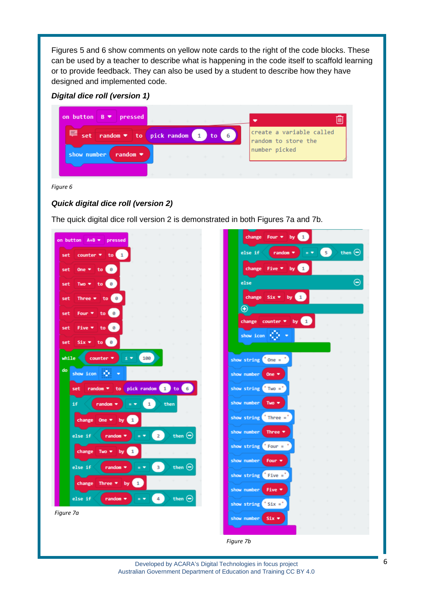Figures 5 and 6 show comments on yellow note cards to the right of the code blocks. These can be used by a teacher to describe what is happening in the code itself to scaffold learning or to provide feedback. They can also be used by a student to describe how they have designed and implemented code.

## *Digital dice roll (version 1)*

| on button $B \bullet$<br>pressed                                                  | the state of the state |             | the state of the con- |                                                                  |  |  |
|-----------------------------------------------------------------------------------|------------------------|-------------|-----------------------|------------------------------------------------------------------|--|--|
| e<br>set random ▼ to pick random 1<br>random $\blacktriangleright$<br>show number |                        | to <b>t</b> | $4-6$                 | create a variable called<br>random to store the<br>number picked |  |  |
|                                                                                   |                        |             |                       | .                                                                |  |  |

*Figure 6*

## *Quick digital dice roll (version 2)*

The quick digital dice roll version 2 is demonstrated in both Figures 7a and 7b.

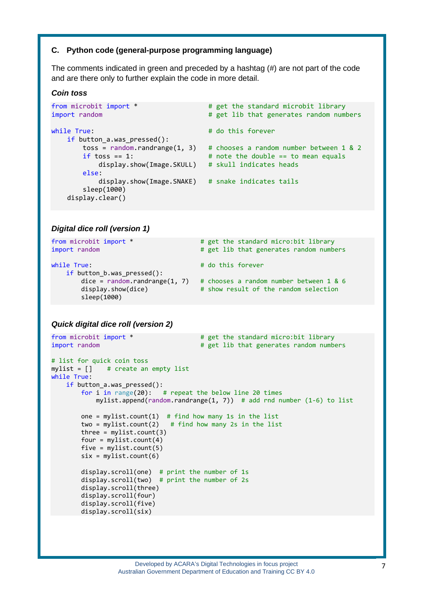#### **C. Python code (general-purpose programming language)**

The comments indicated in green and preceded by a hashtag (#) are not part of the code and are there only to further explain the code in more detail.

#### *Coin toss*

```
from microbit import * \qquad # get the standard microbit library
import random # get lib that generates random numbers
while True: # do this forever
    if button_a.was_pressed():
      toss = random.randrange(1, 3) # chooses a random number between 1 & 2
      if toss == 1: \qquad # note the double == to mean equals
          display.show(Image.SKULL) # skull indicates heads
       else:
          display.show(Image.SNAKE) # snake indicates tails
        sleep(1000)
    display.clear()
```
#### *Digital dice roll (version 1)*

| from microbit import *<br>import random                            | # get the standard micro:bit library<br># get lib that generates random numbers  |
|--------------------------------------------------------------------|----------------------------------------------------------------------------------|
| while True:<br>if button $b.was$ pressed():                        | # do this forever                                                                |
| $dice = random.random$ (1, 7)<br>display.show(dice)<br>sleep(1000) | # chooses a random number between 1 & 6<br># show result of the random selection |

#### *Quick digital dice roll (version 2)*

```
from microbit import * \qquad # get the standard micro:bit library
import random \qquad \qquad # get lib that generates random numbers
# list for quick coin toss
mylist = [] # create an empty list
while True:
    if button_a.was_pressed():
        for i in range(20): # repeat the below line 20 times
            mylist.append(random.randrange(1, 7)) # add rnd number (1-6) to list
       one = mylist.count(1) # find how many 1s in the list
       two = mylist.count(2) # find how many 2s in the list
       three = mylist.count(3)four = mylist.count(4)five = mylist.count(5)six = mylist.count(6) display.scroll(one) # print the number of 1s
 display.scroll(two) # print the number of 2s
        display.scroll(three)
        display.scroll(four)
        display.scroll(five)
        display.scroll(six)
```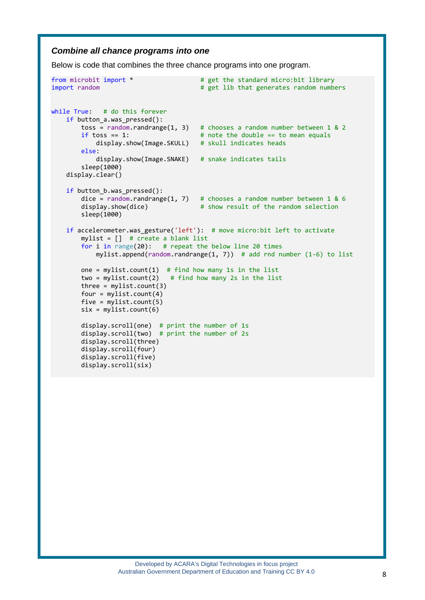#### *Combine all chance programs into one*

Below is code that combines the three chance programs into one program.

```
from microbit import * \qquad # get the standard micro:bit library
import random \qquad \qquad # get lib that generates random numbers
while True: # do this forever
    if button a.was pressed():
        toss = random.randrange(1, 3) # chooses a random number between 1 & 2<br>if toss == 1: <br># note the double == to mean equals
                                           # note the double == to mean equals
             display.show(Image.SKULL) # skull indicates heads
         else:
              display.show(Image.SNAKE) # snake indicates tails
         sleep(1000)
     display.clear()
     if button_b.was_pressed():
        dice = random.randrange(1, 7) # chooses a random number between 1 & 6<br>display.show(dice) # show result of the random selection
                                          # show result of the random selection
         sleep(1000)
     if accelerometer.was_gesture('left'): # move micro:bit left to activate
         mylist = [] # create a blank list
         for i in range(20): # repeat the below line 20 times
            mylist.append(random.randrange(1, 7)) # add rnd number (1-6) to list
        one = mylist.count(1) # find how many 1s in the list
        two = mylist.count(2) # find how many 2s in the list
        three = mvlist.count(3)four = mylist.count(4)five = mylist.count(5)six = mylist.count(6) display.scroll(one) # print the number of 1s
        display.scroll(two) # print the number of 2s
         display.scroll(three)
         display.scroll(four)
         display.scroll(five)
         display.scroll(six)
```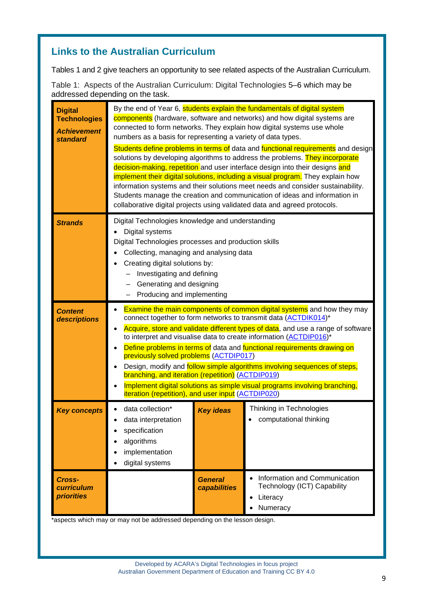## **Links to the Australian Curriculum**

Tables 1 and 2 give teachers an opportunity to see related aspects of the Australian Curriculum.

Table 1: Aspects of the Australian Curriculum: Digital Technologies 5–6 which may be addressed depending on the task.

| <b>Digital</b><br><b>Technologies</b><br><b>Achievement</b><br>standard | By the end of Year 6, students explain the fundamentals of digital system<br>components (hardware, software and networks) and how digital systems are<br>connected to form networks. They explain how digital systems use whole<br>numbers as a basis for representing a variety of data types.<br>Students define problems in terms of data and functional requirements and design<br>solutions by developing algorithms to address the problems. They incorporate<br>decision-making, repetition and user interface design into their designs and<br>implement their digital solutions, including a visual program. They explain how<br>information systems and their solutions meet needs and consider sustainability.<br>Students manage the creation and communication of ideas and information in<br>collaborative digital projects using validated data and agreed protocols. |                                |                                                                                      |  |  |
|-------------------------------------------------------------------------|--------------------------------------------------------------------------------------------------------------------------------------------------------------------------------------------------------------------------------------------------------------------------------------------------------------------------------------------------------------------------------------------------------------------------------------------------------------------------------------------------------------------------------------------------------------------------------------------------------------------------------------------------------------------------------------------------------------------------------------------------------------------------------------------------------------------------------------------------------------------------------------|--------------------------------|--------------------------------------------------------------------------------------|--|--|
| <b>Strands</b>                                                          | Digital Technologies knowledge and understanding<br>Digital systems<br>Digital Technologies processes and production skills<br>Collecting, managing and analysing data<br>Creating digital solutions by:<br>Investigating and defining<br>Generating and designing<br>Producing and implementing                                                                                                                                                                                                                                                                                                                                                                                                                                                                                                                                                                                     |                                |                                                                                      |  |  |
| <b>Content</b><br>descriptions                                          | <b>Examine the main components of common digital systems</b> and how they may<br>connect together to form networks to transmit data (ACTDIK014)*<br>Acquire, store and validate different types of data, and use a range of software<br>to interpret and visualise data to create information (ACTDIP016)*<br>Define problems in terms of data and functional requirements drawing on<br>previously solved problems (ACTDIP017)<br>Design, modify and <b>follow simple algorithms involving sequences of steps,</b><br>branching, and iteration (repetition) (ACTDIP019)<br>Implement digital solutions as simple visual programs involving branching,<br>iteration (repetition), and user input (ACTDIP020)                                                                                                                                                                         |                                |                                                                                      |  |  |
| <b>Key concepts</b>                                                     | data collection*<br>data interpretation<br>specification<br>algorithms<br>implementation<br>digital systems                                                                                                                                                                                                                                                                                                                                                                                                                                                                                                                                                                                                                                                                                                                                                                          | <b>Key ideas</b>               | Thinking in Technologies<br>computational thinking                                   |  |  |
| Cross-<br><b>curriculum</b><br><b>priorities</b>                        |                                                                                                                                                                                                                                                                                                                                                                                                                                                                                                                                                                                                                                                                                                                                                                                                                                                                                      | <b>General</b><br>capabilities | Information and Communication<br>Technology (ICT) Capability<br>Literacy<br>Numeracy |  |  |

\*aspects which may or may not be addressed depending on the lesson design.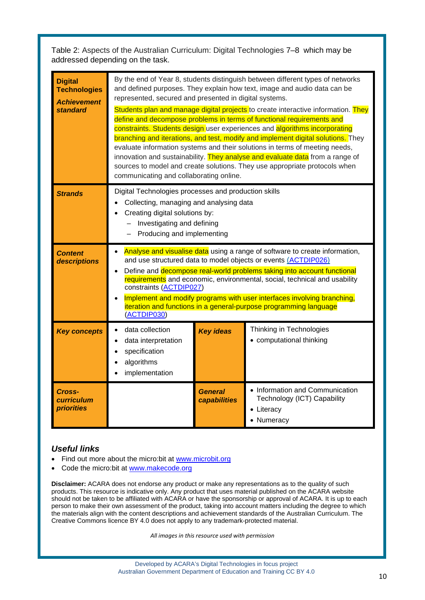Table 2: Aspects of the Australian Curriculum: Digital Technologies 7–8 which may be addressed depending on the task.

| <b>Digital</b><br><b>Technologies</b><br><b>Achievement</b><br>standard | By the end of Year 8, students distinguish between different types of networks<br>and defined purposes. They explain how text, image and audio data can be<br>represented, secured and presented in digital systems.<br>Students plan and manage digital projects to create interactive information. They<br>define and decompose problems in terms of functional requirements and<br>constraints. Students design user experiences and algorithms incorporating<br>branching and iterations, and test, modify and implement digital solutions. They<br>evaluate information systems and their solutions in terms of meeting needs,<br>innovation and sustainability. They analyse and evaluate data from a range of<br>sources to model and create solutions. They use appropriate protocols when<br>communicating and collaborating online. |                         |                                                                                            |  |  |
|-------------------------------------------------------------------------|-----------------------------------------------------------------------------------------------------------------------------------------------------------------------------------------------------------------------------------------------------------------------------------------------------------------------------------------------------------------------------------------------------------------------------------------------------------------------------------------------------------------------------------------------------------------------------------------------------------------------------------------------------------------------------------------------------------------------------------------------------------------------------------------------------------------------------------------------|-------------------------|--------------------------------------------------------------------------------------------|--|--|
| <b>Strands</b>                                                          | Digital Technologies processes and production skills<br>Collecting, managing and analysing data<br>Creating digital solutions by:<br>Investigating and defining<br>Producing and implementing                                                                                                                                                                                                                                                                                                                                                                                                                                                                                                                                                                                                                                                 |                         |                                                                                            |  |  |
| <b>Content</b><br>descriptions                                          | Analyse and visualise data using a range of software to create information,<br>and use structured data to model objects or events (ACTDIP026)<br>Define and decompose real-world problems taking into account functional<br>requirements and economic, environmental, social, technical and usability<br>constraints (ACTDIP027)<br>Implement and modify programs with user interfaces involving branching,<br>iteration and functions in a general-purpose programming language<br>(ACTDIP030)                                                                                                                                                                                                                                                                                                                                               |                         |                                                                                            |  |  |
| <b>Key concepts</b>                                                     | data collection<br>$\bullet$<br>data interpretation<br>specification<br>algorithms<br>implementation                                                                                                                                                                                                                                                                                                                                                                                                                                                                                                                                                                                                                                                                                                                                          | <b>Key ideas</b>        | Thinking in Technologies<br>• computational thinking                                       |  |  |
| Cross-<br>curriculum<br><b>priorities</b>                               |                                                                                                                                                                                                                                                                                                                                                                                                                                                                                                                                                                                                                                                                                                                                                                                                                                               | General<br>capabilities | • Information and Communication<br>Technology (ICT) Capability<br>• Literacy<br>• Numeracy |  |  |

## *Useful links*

- Find out more about the micro:bit at [www.microbit.org](http://www.microbit.org/)
- Code the micro:bit at [www.makecode.org](http://www.makecode.org/)

**Disclaimer:** ACARA does not endorse any product or make any representations as to the quality of such products. This resource is indicative only. Any product that uses material published on the ACARA website should not be taken to be affiliated with ACARA or have the sponsorship or approval of ACARA. It is up to each person to make their own assessment of the product, taking into account matters including the degree to which the materials align with the content descriptions and achievement standards of the Australian Curriculum. The Creative Commons licence BY 4.0 does not apply to any trademark-protected material.

*All images in this resource used with permission*